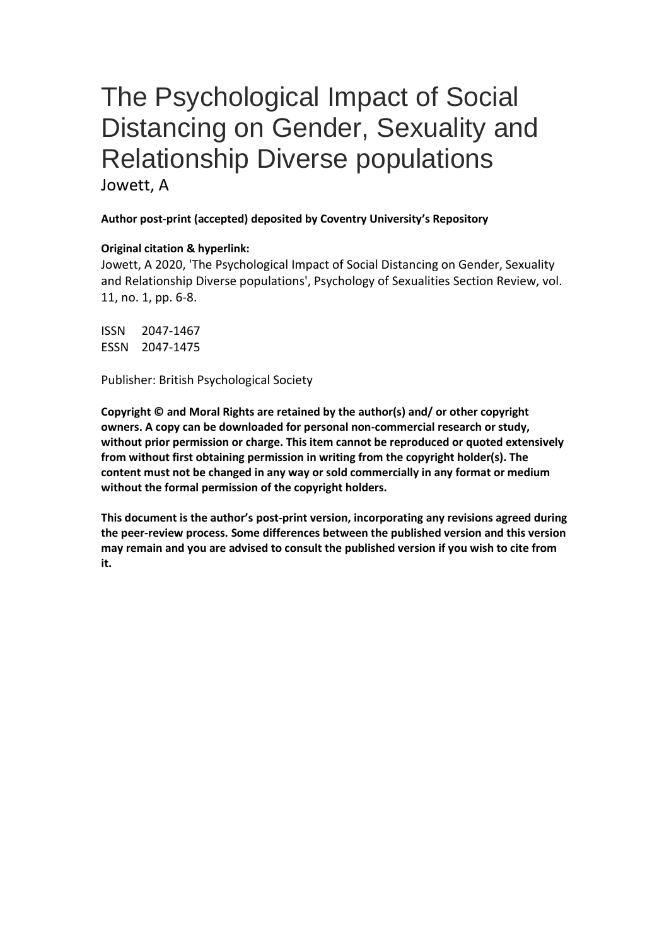# The Psychological Impact of Social Distancing on Gender, Sexuality and Relationship Diverse populations

Jowett, A

#### **Author post-print (accepted) deposited by Coventry University's Repository**

#### **Original citation & hyperlink:**

Jowett, A 2020, 'The Psychological Impact of Social Distancing on Gender, Sexuality and Relationship Diverse populations', Psychology of Sexualities Section Review, vol. 11, no. 1, pp. 6-8.

ISSN 2047-1467 ESSN 2047-1475

Publisher: British Psychological Society

**Copyright © and Moral Rights are retained by the author(s) and/ or other copyright owners. A copy can be downloaded for personal non-commercial research or study, without prior permission or charge. This item cannot be reproduced or quoted extensively from without first obtaining permission in writing from the copyright holder(s). The content must not be changed in any way or sold commercially in any format or medium without the formal permission of the copyright holders.** 

**This document is the author's post-print version, incorporating any revisions agreed during the peer-review process. Some differences between the published version and this version may remain and you are advised to consult the published version if you wish to cite from it.**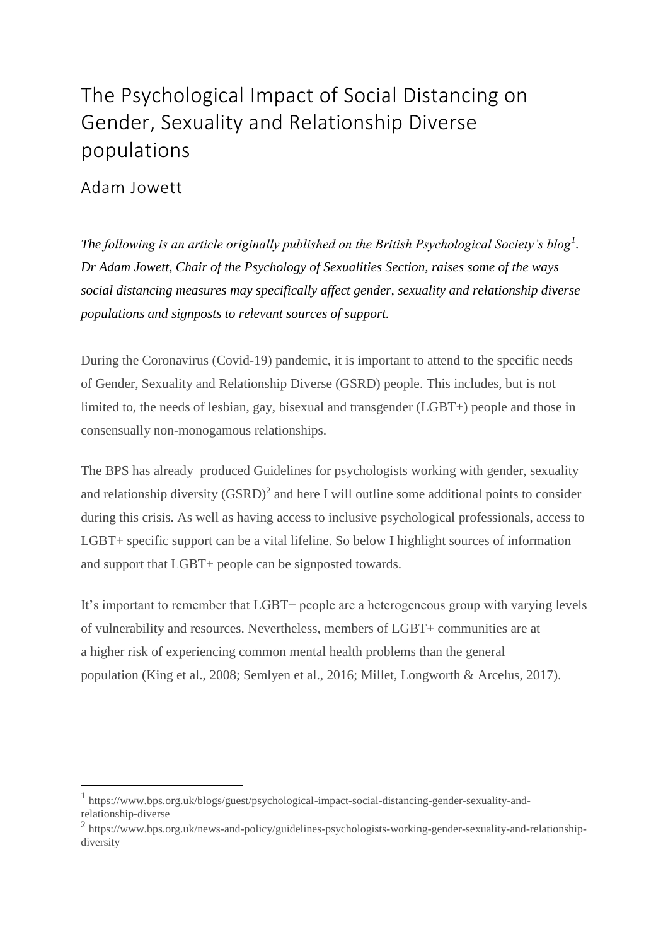## The Psychological Impact of Social Distancing on Gender, Sexuality and Relationship Diverse populations

### Adam Jowett

 $\overline{a}$ 

*The following is an article originally published on the British Psychological Society's blog<sup>1</sup> . Dr Adam Jowett, Chair of the Psychology of Sexualities Section, raises some of the ways social distancing measures may specifically affect gender, sexuality and relationship diverse populations and signposts to relevant sources of support.*

During the Coronavirus (Covid-19) pandemic, it is important to attend to the specific needs of Gender, Sexuality and Relationship Diverse (GSRD) people. This includes, but is not limited to, the needs of lesbian, gay, bisexual and transgender (LGBT+) people and those in consensually non-monogamous relationships.

The BPS has already produced [Guidelines for psychologists working with gender, sexuality](https://www.bps.org.uk/sites/www.bps.org.uk/files/Policy/Policy%20-%20Files/Guidelines%20for%20psychologists%20working%20with%20gender%2C%20sexuality%20and%20relationship%20diversity.pdf)  [and relationship diversity](https://www.bps.org.uk/sites/www.bps.org.uk/files/Policy/Policy%20-%20Files/Guidelines%20for%20psychologists%20working%20with%20gender%2C%20sexuality%20and%20relationship%20diversity.pdf)  $(GSRD)^2$  and here I will outline some additional points to consider during this crisis. As well as having access to inclusive psychological professionals, access to LGBT+ specific support can be a vital lifeline. So below I highlight sources of information and support that LGBT+ people can be signposted towards.

It's important to remember that LGBT+ people are a heterogeneous group with varying levels of vulnerability and resources. Nevertheless, [members of LGBT+ communities are at](http://www.stonewall.org.uk/system/files/lgbt_in_britain_health.pdf)  a higher risk [of experiencing common mental health problems than the general](http://www.stonewall.org.uk/system/files/lgbt_in_britain_health.pdf)  [population](http://www.stonewall.org.uk/system/files/lgbt_in_britain_health.pdf) (King et al., 2008; Semlyen et al., 2016; Millet, Longworth & Arcelus, 2017).

<sup>1</sup> [https://www.bps.org.uk/blogs/guest/psychological-impact-social-distancing-gender-sexuality-and](https://www.bps.org.uk/blogs/guest/psychological-impact-social-distancing-gender-sexuality-and-relationship-diverse)[relationship-diverse](https://www.bps.org.uk/blogs/guest/psychological-impact-social-distancing-gender-sexuality-and-relationship-diverse)

<sup>&</sup>lt;sup>2</sup> [https://www.bps.org.uk/news-and-policy/guidelines-psychologists-working-gender-sexuality-and-relationship](https://www.bps.org.uk/news-and-policy/guidelines-psychologists-working-gender-sexuality-and-relationship-diversity)[diversity](https://www.bps.org.uk/news-and-policy/guidelines-psychologists-working-gender-sexuality-and-relationship-diversity)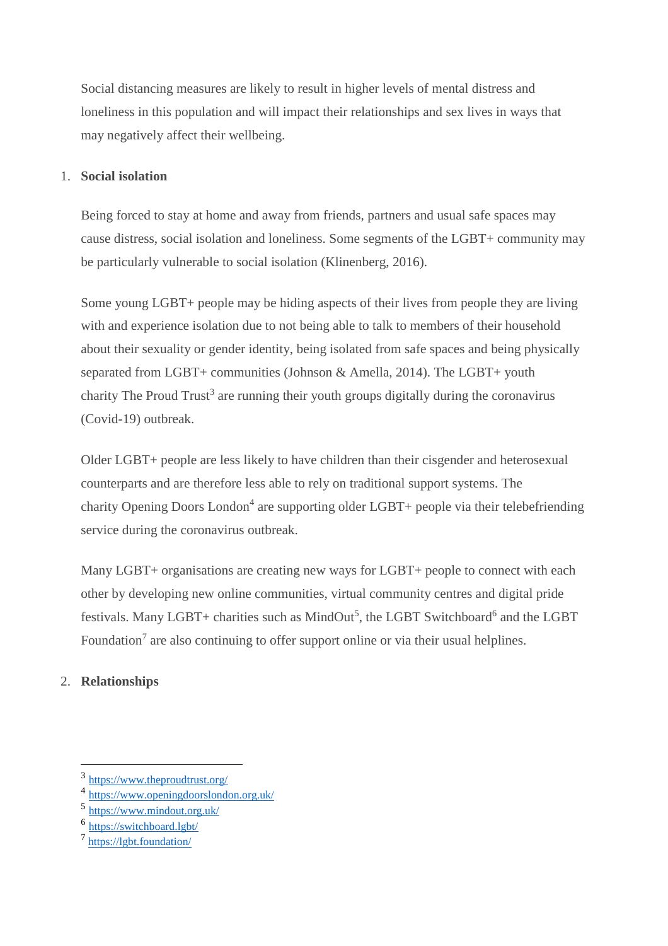Social distancing measures are likely to result in higher levels of mental distress and loneliness in this population and will impact their relationships and sex lives in ways that may negatively affect their wellbeing.

#### 1. **Social isolation**

Being forced to stay at home and away from friends, partners and usual safe spaces may cause distress, social isolation and loneliness. Some segments of the LGBT+ community may be particularly vulnerable to social isolation (Klinenberg, 2016).

Some young LGBT+ people may be hiding aspects of their lives from people they are living with and experience isolation due to not being able to talk to members of their household about their sexuality or gender identity, being isolated from safe spaces and being physically separated from LGBT+ communities (Johnson & Amella, 2014). The LGBT+ youth charity [The Proud Trust](https://www.theproudtrust.org/)<sup>3</sup> are running their youth groups digitally during the coronavirus (Covid-19) outbreak.

Older LGBT+ people are less likely to have children than their cisgender and heterosexual counterparts and are therefore less able to rely on traditional support systems. The charity [Opening Doors](https://www.openingdoorslondon.org.uk/) London<sup>4</sup> are supporting older LGBT+ people via their telebefriending service during the coronavirus outbreak.

Many LGBT+ organisations are creating new ways for LGBT+ people to connect with each other by developing new online communities, virtual community centres and digital pride festivals. Many LGBT+ charities such as [MindOut](https://www.mindout.org.uk/)<sup>5</sup>, the [LGBT Switchboard](https://switchboard.lgbt/)<sup>6</sup> and the LGBT [Foundation](https://lgbt.foundation/)<sup>7</sup> are also continuing to offer support online or via their usual helplines.

#### 2. **Relationships**

 $\overline{a}$ 

<sup>3</sup> <https://www.theproudtrust.org/>

<sup>4</sup> <https://www.openingdoorslondon.org.uk/>

<sup>5</sup> <https://www.mindout.org.uk/>

<sup>&</sup>lt;sup>6</sup> <https://switchboard.lgbt/>

<sup>7</sup> <https://lgbt.foundation/>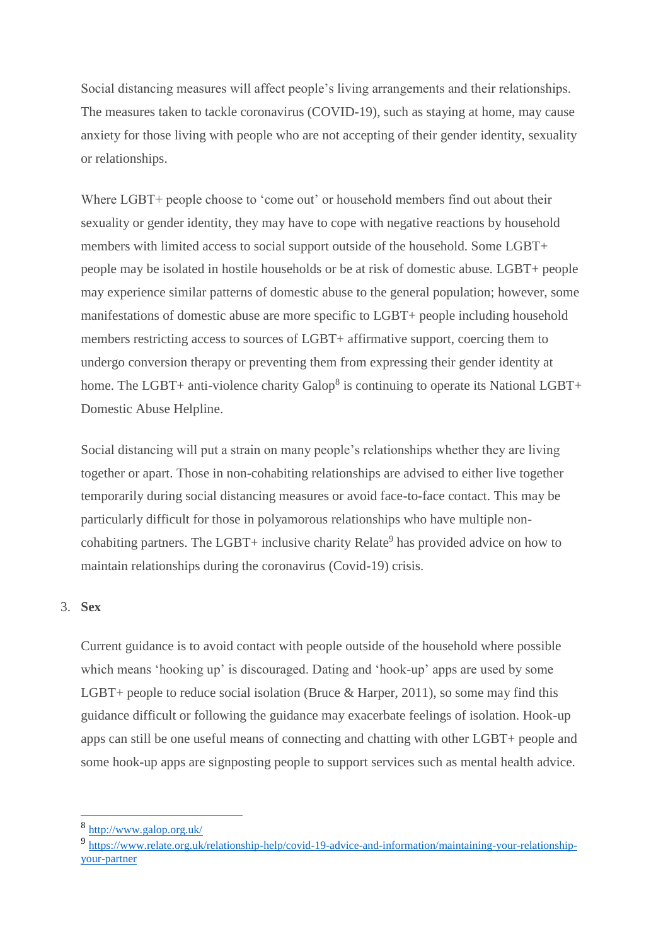Social distancing measures will affect people's living arrangements and their relationships. The measures taken to tackle coronavirus (COVID-19), such as staying at home, may cause anxiety for those living with people who are not accepting of their gender identity, sexuality or relationships.

Where LGBT+ people choose to 'come out' or household members find out about their sexuality or gender identity, they may have to cope with negative reactions by household members with limited access to social support outside of the household. Some LGBT+ people may be isolated in hostile households or be at risk of domestic abuse. LGBT+ people may experience similar patterns of domestic abuse to the general population; however, some manifestations of domestic abuse are more specific to LGBT+ people including household members restricting access to sources of LGBT+ affirmative support, coercing them to undergo conversion therapy or preventing them from expressing their gender identity at home. The LGBT+ anti-violence charity  $\text{Galop}^8$  $\text{Galop}^8$  $\text{Galop}^8$  is continuing to operate its National LGBT+ Domestic Abuse Helpline.

Social distancing will put a strain on many people's relationships whether they are living together or apart. Those in non-cohabiting relationships are advised to either live together temporarily during social distancing measures or avoid face-to-face contact. This may be particularly difficult for those in polyamorous relationships who have multiple non-cohabiting partners. The LGBT+ inclusive charity [Relate](https://www.relate.org.uk/relationship-help/covid-19-advice-and-information/maintaining-your-relationship-your-partner)<sup>9</sup> has provided advice on how to maintain relationships during the coronavirus (Covid-19) crisis.

#### 3. **Sex**

 $\overline{a}$ 

Current guidance is to avoid contact with people outside of the household where possible which means 'hooking up' is discouraged. Dating and 'hook-up' apps are used by some LGBT+ people to reduce social isolation (Bruce & Harper, 2011), so some may find this guidance difficult or following the guidance may exacerbate feelings of isolation. Hook-up apps can still be one useful means of connecting and chatting with other LGBT+ people and some hook-up apps are signposting people to support services such as mental health advice.

<sup>8</sup> <http://www.galop.org.uk/>

<sup>9</sup> [https://www.relate.org.uk/relationship-help/covid-19-advice-and-information/maintaining-your-relationship](https://www.relate.org.uk/relationship-help/covid-19-advice-and-information/maintaining-your-relationship-your-partner)[your-partner](https://www.relate.org.uk/relationship-help/covid-19-advice-and-information/maintaining-your-relationship-your-partner)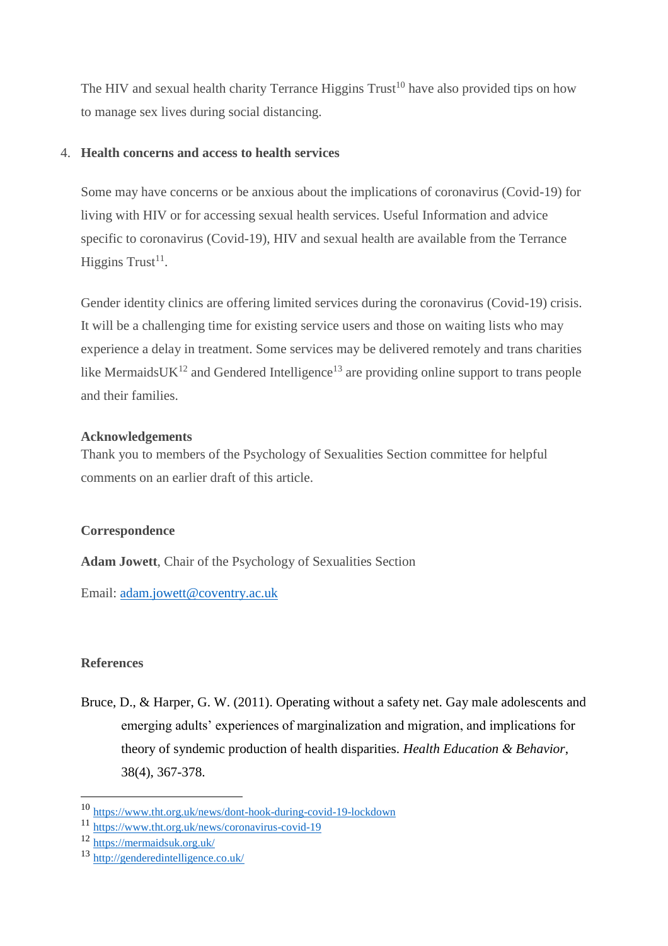The HIV and sexual health charity [Terrance Higgins Trust](https://www.tht.org.uk/news/dont-hook-during-covid-19-lockdown)<sup>10</sup> have also provided tips on how to manage sex lives during social distancing.

#### 4. **Health concerns and access to health services**

Some may have concerns or be anxious about the implications of coronavirus (Covid-19) for living with HIV or for accessing sexual health services. Useful Information and advice specific to coronavirus (Covid-19), HIV and sexual health are available from the [Terrance](https://www.tht.org.uk/news/coronavirus-covid-19)  [Higgins Trust](https://www.tht.org.uk/news/coronavirus-covid-19)<sup>11</sup>.

Gender identity clinics are offering limited services during the coronavirus (Covid-19) crisis. It will be a challenging time for existing service users and those on waiting lists who may experience a delay in treatment. Some services may be delivered remotely and trans charities like [MermaidsUK](https://mermaidsuk.org.uk/) $^{12}$  and [Gendered Intelligence](http://genderedintelligence.co.uk/)<sup>13</sup> are providing online support to trans people and their families.

#### **Acknowledgements**

Thank you to members of the Psychology of Sexualities Section committee for helpful comments on an earlier draft of this article.

#### **Correspondence**

**Adam Jowett**, Chair of the Psychology of Sexualities Section

Email: [adam.jowett@coventry.ac.uk](mailto:adam.jowett@coventry.ac.uk)

#### **References**

 $\overline{a}$ 

Bruce, D., & Harper, G. W. (2011). Operating without a safety net. Gay male adolescents and emerging adults' experiences of marginalization and migration, and implications for theory of syndemic production of health disparities. *Health Education & Behavior*, 38(4), 367-378.

<sup>10</sup> <https://www.tht.org.uk/news/dont-hook-during-covid-19-lockdown>

<sup>11</sup> <https://www.tht.org.uk/news/coronavirus-covid-19>

<sup>12</sup> <https://mermaidsuk.org.uk/>

<sup>13</sup> <http://genderedintelligence.co.uk/>